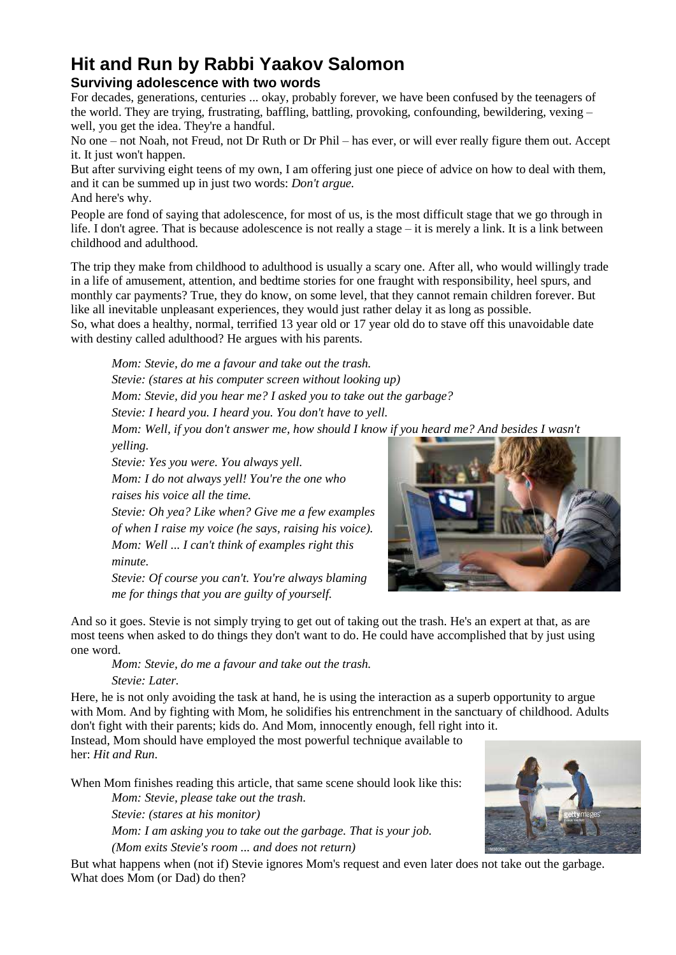## **Hit and Run by Rabbi Yaakov Salomon**

## **Surviving adolescence with two words**

For decades, generations, centuries ... okay, probably forever, we have been confused by the teenagers of the world. They are trying, frustrating, baffling, battling, provoking, confounding, bewildering, vexing – well, you get the idea. They're a handful.

No one – not Noah, not Freud, not Dr Ruth or Dr Phil – has ever, or will ever really figure them out. Accept it. It just won't happen.

But after surviving eight teens of my own, I am offering just one piece of advice on how to deal with them, and it can be summed up in just two words: *Don't argue.*

And here's why.

People are fond of saying that adolescence, for most of us, is the most difficult stage that we go through in life. I don't agree. That is because adolescence is not really a stage – it is merely a link. It is a link between childhood and adulthood.

The trip they make from childhood to adulthood is usually a scary one. After all, who would willingly trade in a life of amusement, attention, and bedtime stories for one fraught with responsibility, heel spurs, and monthly car payments? True, they do know, on some level, that they cannot remain children forever. But like all inevitable unpleasant experiences, they would just rather delay it as long as possible.

So, what does a healthy, normal, terrified 13 year old or 17 year old do to stave off this unavoidable date with destiny called adulthood? He argues with his parents.

*Mom: Stevie, do me a favour and take out the trash. Stevie: (stares at his computer screen without looking up)*

*Mom: Stevie, did you hear me? I asked you to take out the garbage?*

*Stevie: I heard you. I heard you. You don't have to yell.*

*Mom: Well, if you don't answer me, how should I know if you heard me? And besides I wasn't*

*yelling.*

*Stevie: Yes you were. You always yell.*

*Mom: I do not always yell! You're the one who raises his voice all the time.*

*Stevie: Oh yea? Like when? Give me a few examples of when I raise my voice (he says, raising his voice). Mom: Well ... I can't think of examples right this*

*minute.*

*Stevie: Of course you can't. You're always blaming me for things that you are guilty of yourself.*



And so it goes. Stevie is not simply trying to get out of taking out the trash. He's an expert at that, as are most teens when asked to do things they don't want to do. He could have accomplished that by just using one word.

*Mom: Stevie, do me a favour and take out the trash.*

*Stevie: Later.*

Here, he is not only avoiding the task at hand, he is using the interaction as a superb opportunity to argue with Mom. And by fighting with Mom, he solidifies his entrenchment in the sanctuary of childhood. Adults don't fight with their parents; kids do. And Mom, innocently enough, fell right into it.

Instead, Mom should have employed the most powerful technique available to her: *Hit and Run*.

When Mom finishes reading this article, that same scene should look like this: *Mom: Stevie, please take out the trash.*

*Stevie: (stares at his monitor)*

*Mom: I am asking you to take out the garbage. That is your job. (Mom exits Stevie's room ... and does not return)*

But what happens when (not if) Stevie ignores Mom's request and even later does not take out the garbage. What does Mom (or Dad) do then?